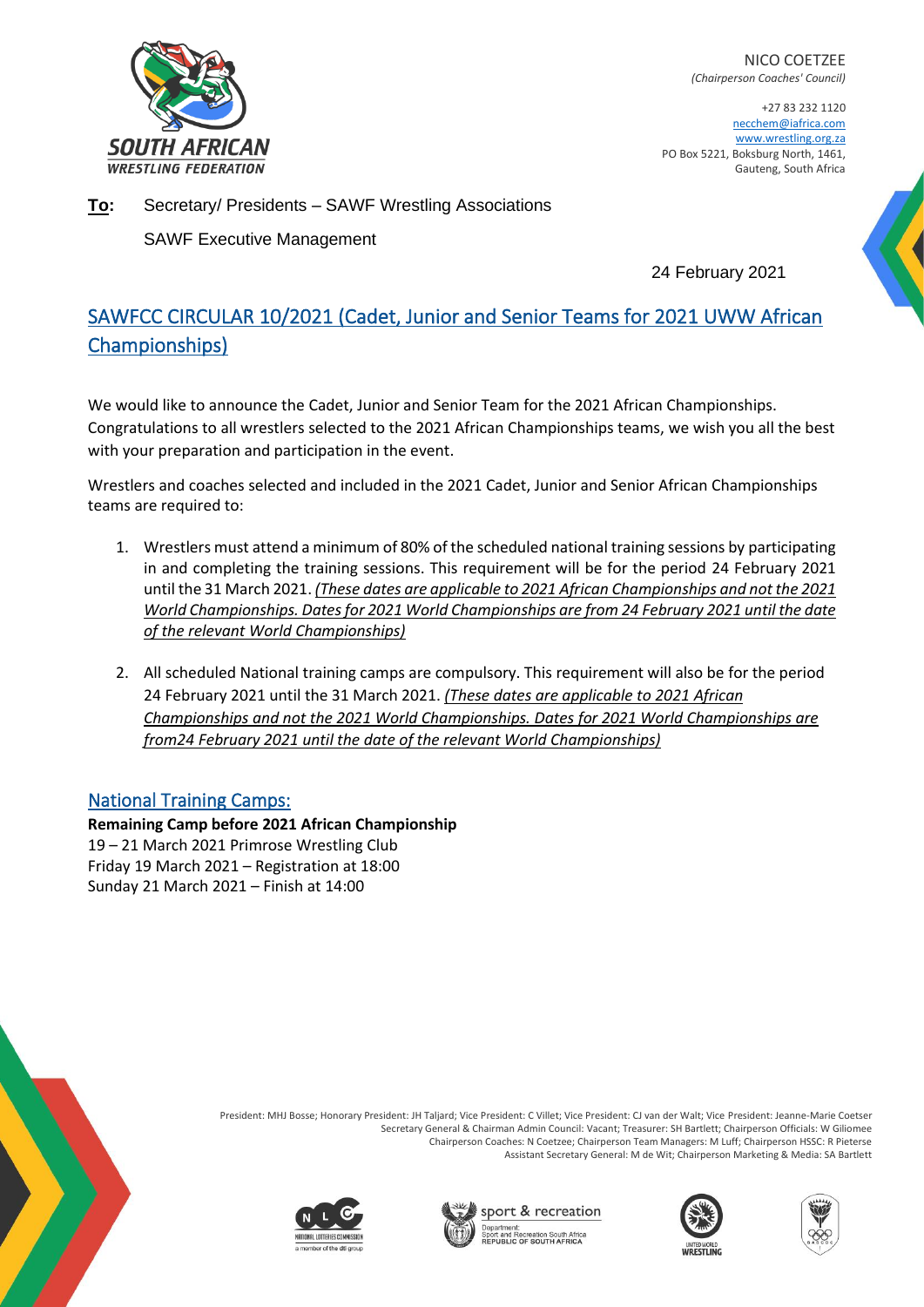

NICO COETZEE *(Chairperson Coaches' Council)*

+27 83 232 1120 necchem@iafrica.com www.wrestling.org.za PO Box 5221, Boksburg North, 1461, Gauteng, South Africa

**To:** Secretary/ Presidents – SAWF Wrestling Associations

SAWF Executive Management

24 February 2021

## SAWFCC CIRCULAR 10/2021 (Cadet, Junior and Senior Teams for 2021 UWW African Championships)

We would like to announce the Cadet, Junior and Senior Team for the 2021 African Championships. Congratulations to all wrestlers selected to the 2021 African Championships teams, we wish you all the best with your preparation and participation in the event.

Wrestlers and coaches selected and included in the 2021 Cadet, Junior and Senior African Championships teams are required to:

- 1. Wrestlers must attend a minimum of 80% of the scheduled national training sessions by participating in and completing the training sessions. This requirement will be for the period 24 February 2021 until the 31 March 2021. *(These dates are applicable to 2021 African Championships and not the 2021 World Championships. Dates for 2021 World Championships are from 24 February 2021 until the date of the relevant World Championships)*
- 2. All scheduled National training camps are compulsory. This requirement will also be for the period 24 February 2021 until the 31 March 2021. *(These dates are applicable to 2021 African Championships and not the 2021 World Championships. Dates for 2021 World Championships are from24 February 2021 until the date of the relevant World Championships)*

## National Training Camps:

**Remaining Camp before 2021 African Championship** 19 – 21 March 2021 Primrose Wrestling Club Friday 19 March 2021 – Registration at 18:00 Sunday 21 March 2021 – Finish at 14:00











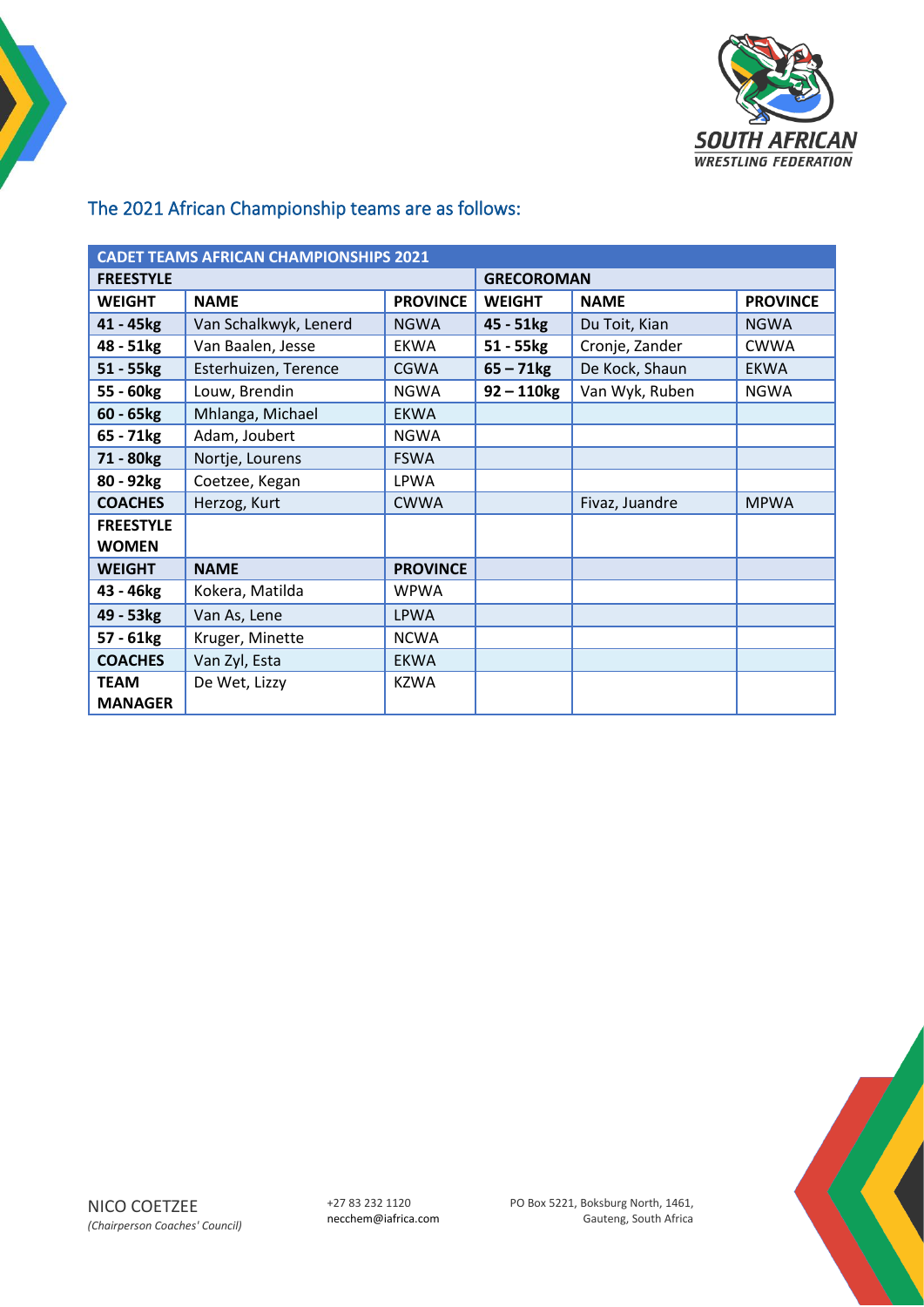

## The 2021 African Championship teams are as follows:

| <b>CADET TEAMS AFRICAN CHAMPIONSHIPS 2021</b> |                       |                   |                         |                |                 |  |  |
|-----------------------------------------------|-----------------------|-------------------|-------------------------|----------------|-----------------|--|--|
| <b>FREESTYLE</b>                              |                       | <b>GRECOROMAN</b> |                         |                |                 |  |  |
| <b>WEIGHT</b>                                 | <b>NAME</b>           | <b>PROVINCE</b>   | <b>WEIGHT</b>           | <b>NAME</b>    | <b>PROVINCE</b> |  |  |
| 41 - 45kg                                     | Van Schalkwyk, Lenerd | <b>NGWA</b>       | $45 - 51kg$             | Du Toit, Kian  | <b>NGWA</b>     |  |  |
| 48 - 51kg                                     | Van Baalen, Jesse     | <b>EKWA</b>       | 51 - 55kg               | Cronje, Zander | <b>CWWA</b>     |  |  |
| $51 - 55$ kg                                  | Esterhuizen, Terence  | <b>CGWA</b>       | $65 - 71$ <sub>kg</sub> | De Kock, Shaun | <b>EKWA</b>     |  |  |
| 55 - 60kg                                     | Louw, Brendin         | <b>NGWA</b>       | $92 - 110$ kg           | Van Wyk, Ruben | <b>NGWA</b>     |  |  |
| $60 - 65kg$                                   | Mhlanga, Michael      | <b>EKWA</b>       |                         |                |                 |  |  |
| 65 - 71kg                                     | Adam, Joubert         | <b>NGWA</b>       |                         |                |                 |  |  |
| 71 - 80kg                                     | Nortje, Lourens       | <b>FSWA</b>       |                         |                |                 |  |  |
| 80 - 92kg                                     | Coetzee, Kegan        | <b>LPWA</b>       |                         |                |                 |  |  |
| <b>COACHES</b>                                | Herzog, Kurt          | <b>CWWA</b>       |                         | Fivaz, Juandre | <b>MPWA</b>     |  |  |
| <b>FREESTYLE</b>                              |                       |                   |                         |                |                 |  |  |
| <b>WOMEN</b>                                  |                       |                   |                         |                |                 |  |  |
| <b>WEIGHT</b>                                 | <b>NAME</b>           | <b>PROVINCE</b>   |                         |                |                 |  |  |
| 43 - 46kg                                     | Kokera, Matilda       | <b>WPWA</b>       |                         |                |                 |  |  |
| 49 - 53kg                                     | Van As, Lene          | <b>LPWA</b>       |                         |                |                 |  |  |
| 57 - 61kg                                     | Kruger, Minette       | <b>NCWA</b>       |                         |                |                 |  |  |
| <b>COACHES</b>                                | Van Zyl, Esta         | <b>EKWA</b>       |                         |                |                 |  |  |
| <b>TEAM</b>                                   | De Wet, Lizzy         | <b>KZWA</b>       |                         |                |                 |  |  |
| <b>MANAGER</b>                                |                       |                   |                         |                |                 |  |  |

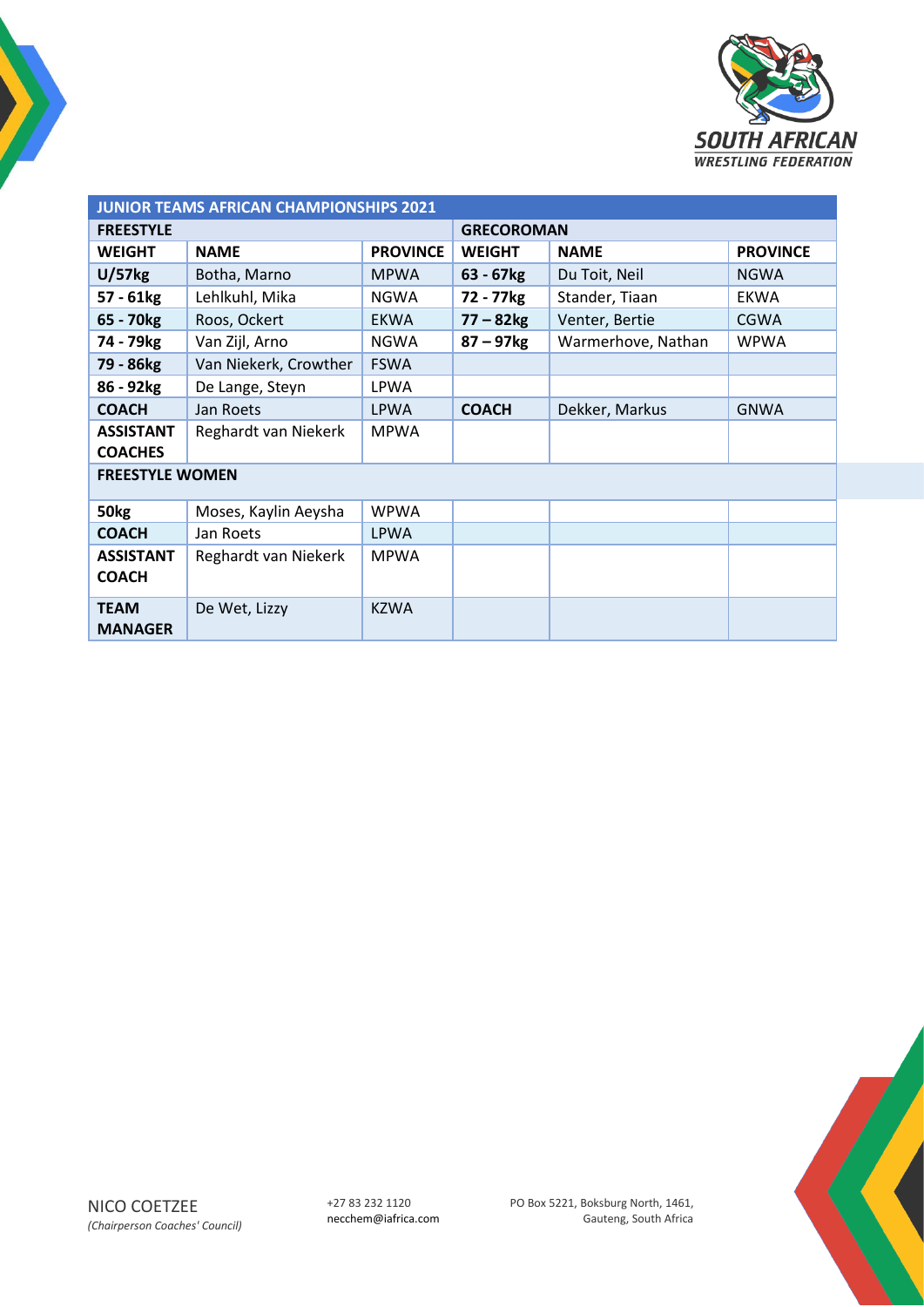

| <b>JUNIOR TEAMS AFRICAN CHAMPIONSHIPS 2021</b> |                       |                 |                         |                    |                 |  |  |
|------------------------------------------------|-----------------------|-----------------|-------------------------|--------------------|-----------------|--|--|
| <b>FREESTYLE</b>                               |                       |                 | <b>GRECOROMAN</b>       |                    |                 |  |  |
| <b>WEIGHT</b>                                  | <b>NAME</b>           | <b>PROVINCE</b> | <b>WEIGHT</b>           | <b>NAME</b>        | <b>PROVINCE</b> |  |  |
| U/57kg                                         | Botha, Marno          | <b>MPWA</b>     | $63 - 67kg$             | Du Toit, Neil      | <b>NGWA</b>     |  |  |
| $57 - 61kg$                                    | Lehlkuhl, Mika        | <b>NGWA</b>     | 72 - 77kg               | Stander, Tiaan     | <b>EKWA</b>     |  |  |
| 65 - 70 <sub>kg</sub>                          | Roos, Ockert          | <b>EKWA</b>     | $77 - 82$ <sub>kg</sub> | Venter, Bertie     | <b>CGWA</b>     |  |  |
| 74 - 79 <sub>kg</sub>                          | Van Zijl, Arno        | <b>NGWA</b>     | $87 - 97$ <sub>kg</sub> | Warmerhove, Nathan | <b>WPWA</b>     |  |  |
| 79 - 86kg                                      | Van Niekerk, Crowther | <b>FSWA</b>     |                         |                    |                 |  |  |
| 86 - 92kg                                      | De Lange, Steyn       | <b>LPWA</b>     |                         |                    |                 |  |  |
| <b>COACH</b>                                   | Jan Roets             | <b>LPWA</b>     | <b>COACH</b>            | Dekker, Markus     | <b>GNWA</b>     |  |  |
| <b>ASSISTANT</b><br><b>COACHES</b>             | Reghardt van Niekerk  | <b>MPWA</b>     |                         |                    |                 |  |  |
| <b>FREESTYLE WOMEN</b>                         |                       |                 |                         |                    |                 |  |  |
| 50 <sub>kg</sub>                               | Moses, Kaylin Aeysha  | <b>WPWA</b>     |                         |                    |                 |  |  |
| <b>COACH</b>                                   | Jan Roets             | LPWA            |                         |                    |                 |  |  |
| <b>ASSISTANT</b><br><b>COACH</b>               | Reghardt van Niekerk  | <b>MPWA</b>     |                         |                    |                 |  |  |
| <b>TEAM</b><br><b>MANAGER</b>                  | De Wet, Lizzy         | <b>KZWA</b>     |                         |                    |                 |  |  |